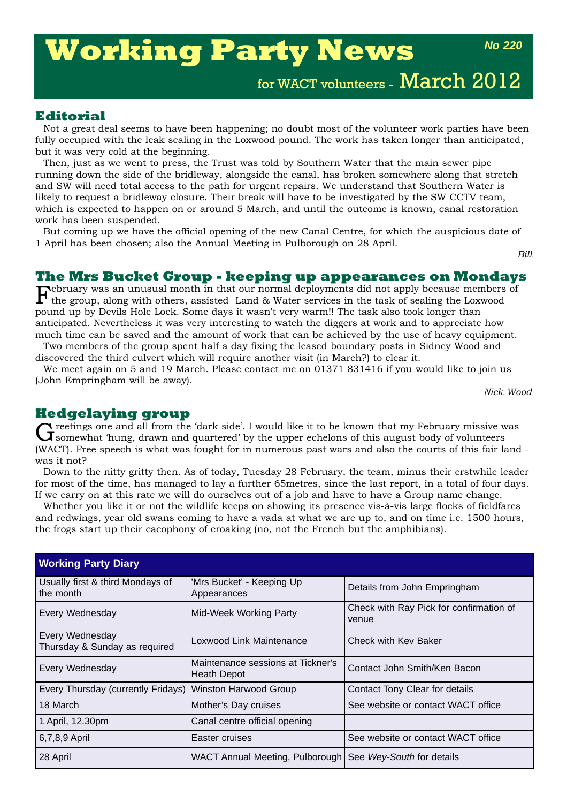# **Working Party News**

*No 220*

for WACT volunteers - March 2012

# **Editorial**

Not a great deal seems to have been happening; no doubt most of the volunteer work parties have been fully occupied with the leak sealing in the Loxwood pound. The work has taken longer than anticipated, but it was very cold at the beginning.

Then, just as we went to press, the Trust was told by Southern Water that the main sewer pipe running down the side of the bridleway, alongside the canal, has broken somewhere along that stretch and SW will need total access to the path for urgent repairs. We understand that Southern Water is likely to request a bridleway closure. Their break will have to be investigated by the SW CCTV team, which is expected to happen on or around 5 March, and until the outcome is known, canal restoration work has been suspended.

But coming up we have the official opening of the new Canal Centre, for which the auspicious date of 1 April has been chosen; also the Annual Meeting in Pulborough on 28 April.

*Bill*

# **The Mrs Bucket Group - keeping up appearances on Mondays**

February was an unusual month in that our normal deployments did not apply because members of the group, along with others, assisted Land & Water services in the task of sealing the Loxwood pound up by Devils Hole Lock. Some days it wasn't very warm!! The task also took longer than anticipated. Nevertheless it was very interesting to watch the diggers at work and to appreciate how much time can be saved and the amount of work that can be achieved by the use of heavy equipment.

Two members of the group spent half a day fixing the leased boundary posts in Sidney Wood and discovered the third culvert which will require another visit (in March?) to clear it.

We meet again on 5 and 19 March. Please contact me on 01371 831416 if you would like to join us (John Empringham will be away).

*Nick Wood*

**Hedgelaying group**<br> **C** reetings one and all from the 'dark side'. I would like it to be known that my February missive was Greetings one and all from the 'dark side'. I would like it to be known that my February missive was<br>Gramewhat 'hung, drawn and quartered' by the upper echelons of this august body of volunteers (WACT). Free speech is what was fought for in numerous past wars and also the courts of this fair land was it not?

Down to the nitty gritty then. As of today, Tuesday 28 February, the team, minus their erstwhile leader for most of the time, has managed to lay a further 65metres, since the last report, in a total of four days. If we carry on at this rate we will do ourselves out of a job and have to have a Group name change.

Whether you like it or not the wildlife keeps on showing its presence vis-à-vis large flocks of fieldfares and redwings, year old swans coming to have a vada at what we are up to, and on time i.e. 1500 hours, the frogs start up their cacophony of croaking (no, not the French but the amphibians).

| <b>Working Party Diary</b>                               |                                                           |                                                  |  |  |
|----------------------------------------------------------|-----------------------------------------------------------|--------------------------------------------------|--|--|
| Usually first & third Mondays of<br>the month            | 'Mrs Bucket' - Keeping Up<br>Appearances                  | Details from John Empringham                     |  |  |
| Every Wednesday                                          | Mid-Week Working Party                                    | Check with Ray Pick for confirmation of<br>venue |  |  |
| Every Wednesday<br>Thursday & Sunday as required         | Loxwood Link Maintenance<br>Check with Kev Baker          |                                                  |  |  |
| Every Wednesday                                          | Maintenance sessions at Tickner's<br><b>Heath Depot</b>   | Contact John Smith/Ken Bacon                     |  |  |
| Every Thursday (currently Fridays) Winston Harwood Group |                                                           | Contact Tony Clear for details                   |  |  |
| 18 March                                                 | Mother's Day cruises                                      | See website or contact WACT office               |  |  |
| 1 April, 12.30pm                                         | Canal centre official opening                             |                                                  |  |  |
| 6,7,8,9 April                                            | Easter cruises                                            | See website or contact WACT office               |  |  |
| 28 April                                                 | WACT Annual Meeting, Pulborough See Wey-South for details |                                                  |  |  |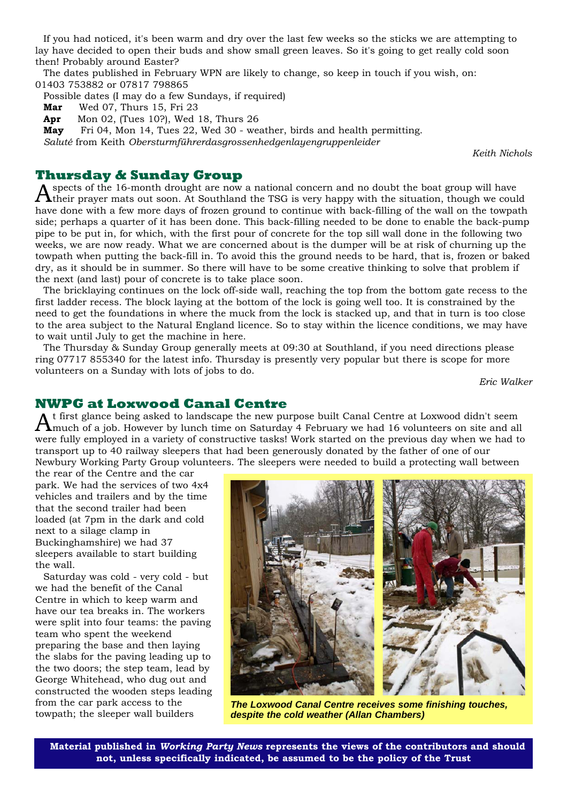If you had noticed, it's been warm and dry over the last few weeks so the sticks we are attempting to lay have decided to open their buds and show small green leaves. So it's going to get really cold soon then! Probably around Easter?

The dates published in February WPN are likely to change, so keep in touch if you wish, on: 01403 753882 or 07817 798865

Possible dates (I may do a few Sundays, if required)

**Mar** Wed 07, Thurs 15, Fri 23

**Apr** Mon 02, (Tues 10?), Wed 18, Thurs 26

**May** Fri 04, Mon 14, Tues 22, Wed 30 - weather, birds and health permitting.

*Saluté* from Keith *Obersturmführerdasgrossenhedgenlayengruppenleider*

*Keith Nichols*

# **Thursday & Sunday Group**

spects of the 16-month drought are now a national concern and no doubt the boat group will have their prayer mats out soon. At Southland the TSG is very happy with the situation, though we could have done with a few more days of frozen ground to continue with back-filling of the wall on the towpath side; perhaps a quarter of it has been done. This back-filling needed to be done to enable the back-pump pipe to be put in, for which, with the first pour of concrete for the top sill wall done in the following two weeks, we are now ready. What we are concerned about is the dumper will be at risk of churning up the towpath when putting the back-fill in. To avoid this the ground needs to be hard, that is, frozen or baked dry, as it should be in summer. So there will have to be some creative thinking to solve that problem if the next (and last) pour of concrete is to take place soon.

The bricklaying continues on the lock off-side wall, reaching the top from the bottom gate recess to the first ladder recess. The block laying at the bottom of the lock is going well too. It is constrained by the need to get the foundations in where the muck from the lock is stacked up, and that in turn is too close to the area subject to the Natural England licence. So to stay within the licence conditions, we may have to wait until July to get the machine in here.

The Thursday & Sunday Group generally meets at 09:30 at Southland, if you need directions please ring 07717 855340 for the latest info. Thursday is presently very popular but there is scope for more volunteers on a Sunday with lots of jobs to do.

*Eric Walker*

### **NWPG at Loxwood Canal Centre**

 $A$ <sup>t first</sup> glance being asked to landscape the new purpose built Canal Centre at Loxwood didn't seem annul all  $A$  in  $A$  is a step to  $A$  is a step to  $A$  is a step to  $A$  is an  $A$  is and all  $A$  is an  $A$  is and all were fully employed in a variety of constructive tasks! Work started on the previous day when we had to transport up to 40 railway sleepers that had been generously donated by the father of one of our Newbury Working Party Group volunteers. The sleepers were needed to build a protecting wall between

the rear of the Centre and the car park. We had the services of two 4x4 vehicles and trailers and by the time that the second trailer had been loaded (at 7pm in the dark and cold next to a silage clamp in Buckinghamshire) we had 37 sleepers available to start building the wall.

Saturday was cold - very cold - but we had the benefit of the Canal Centre in which to keep warm and have our tea breaks in. The workers were split into four teams: the paving team who spent the weekend preparing the base and then laying the slabs for the paving leading up to the two doors; the step team, lead by George Whitehead, who dug out and constructed the wooden steps leading from the car park access to the towpath; the sleeper wall builders



*The Loxwood Canal Centre receives some finishing touches, despite the cold weather (Allan Chambers)*

**Material published in** *Working Party News* **represents the views of the contributors and should not, unless specifically indicated, be assumed to be the policy of the Trust**